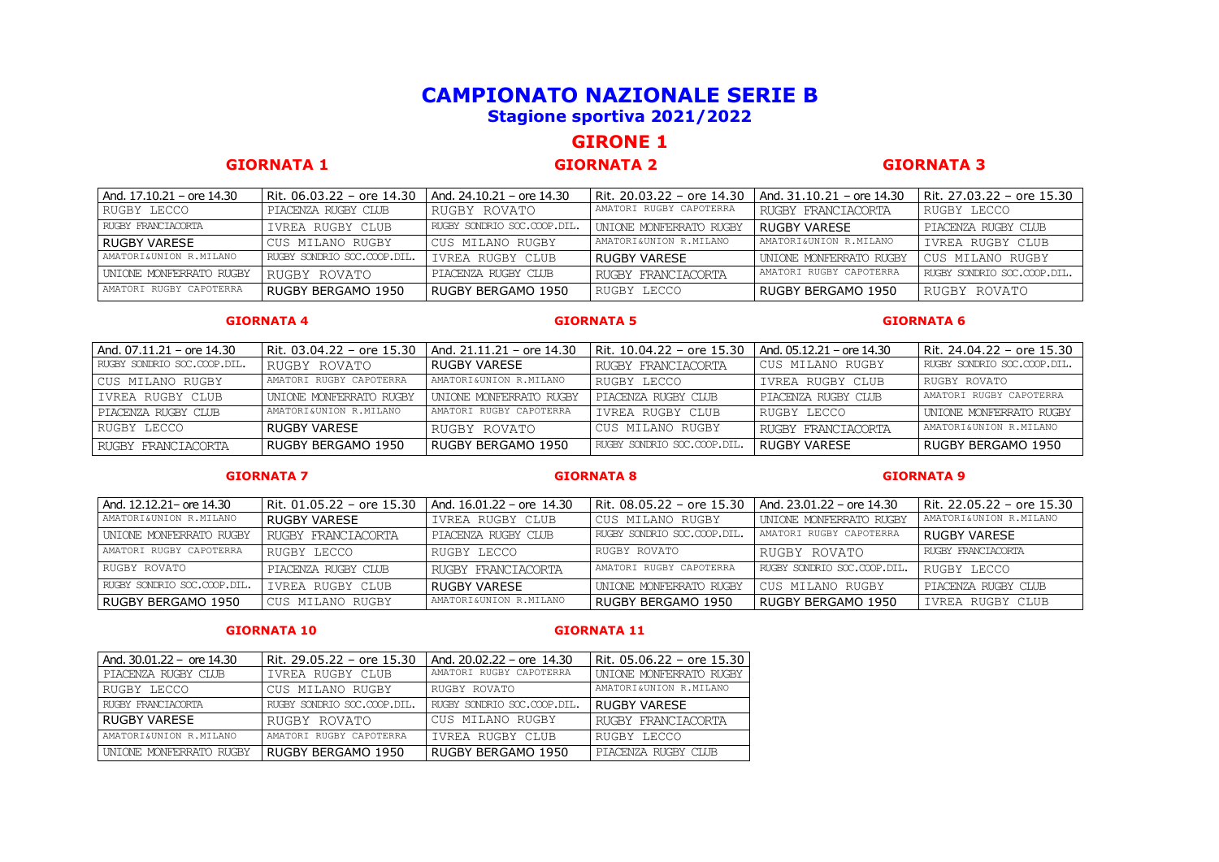## **Stagione sportiva 2021/2022**

## **GIRONE 1**

## **GIORNATA 1 GIORNATA 2 GIORNATA 3**

| And. 17.10.21 – ore 14.30 | Rit. 06.03.22 – ore 14.30   | $\blacksquare$ And. 24.10.21 – ore 14.30 | Rit. 20.03.22 - ore 14.30 | $ $ And. 31.10.21 – ore 14.30 | Rit. 27.03.22 - ore 15.30   |
|---------------------------|-----------------------------|------------------------------------------|---------------------------|-------------------------------|-----------------------------|
| RUGBY LECCO               | PIACENZA RUGBY CLUB         | RUGBY ROVATO                             | AMATORI RUGBY CAPOTERRA   | RUGBY FRANCIACORTA            | RUGBY LECCO                 |
| RUGBY FRANCIACORTA        | IVREA RUGBY CLUB            | RUGBY SONDRIO SOC.COOP.DIL.              | UNIONE MONFERRATO RUGBY   | I RUGBY VARESE                | PIACENZA RUGBY CLUB         |
| l RUGBY VARESE            | CUS MILANO RUGBY            | CUS MILANO RUGBY                         | AMATORI&UNION R.MILANO    | AMATORI&UNION R.MILANO        | IVREA RUGBY CLUB            |
| AMATORI&UNION R.MILANO    | RUGBY SONDRIO SOC.COOP.DIL. | I IVREA RUGBY CLUB                       | <b>I RUGBY VARESE</b>     | UNIONE MONFERRATO RUGBY       | CUS MILANO RUGBY            |
| UNIONE MONFERRATO RUGBY   | RUGBY ROVATO                | PIACENZA RUGBY CLUB                      | RUGBY FRANCIACORTA        | AMATORI RUGBY CAPOTERRA       | RUGBY SONDRIO SOC.COOP.DIL. |
| AMATORI RUGBY CAPOTERRA   | RUGBY BERGAMO 1950          | l RUGBY BERGAMO 1950                     | RUGBY LECCO               | l RUGBY BERGAMO 1950          | RUGBY ROVATO                |

### **GIORNATA 4 GIORNATA 5 GIORNATA 6**

| $And. 07.11.21 - ore 14.30$ | Rit. 03.04.22 – ore 15.30   And. 21.11.21 – ore 14.30 |                         | Rit. 10.04.22 - ore 15.30   | $\mu$ And. 05.12.21 – ore 14.30 | Rit. 24.04.22 - ore 15.30   |
|-----------------------------|-------------------------------------------------------|-------------------------|-----------------------------|---------------------------------|-----------------------------|
| RUGBY SONDRIO SOC.COOP.DIL. | RUGBY ROVATO                                          | l RUGBY VARESE          | RUGBY FRANCIACORTA          | CUS MILANO RUGBY                | RUGBY SONDRIO SOC.COOP.DIL. |
| ICUS MILANO RUGBY           | AMATORI RUGBY CAPOTERRA                               | AMATORI&UNION R.MILANO  | RUGBY LECCO                 | IVREA RUGBY CLUB                | RUGBY ROVATO                |
| IVREA RUGBY CLUB            | UNIONE MONFERRATO RUGBY                               | UNIONE MONFERRATO RUGBY | PIACENZA RUGBY CLUB         | PIACENZA RUGBY CLUB             | AMATORI RUGBY CAPOTERRA     |
| PIACENZA RUGBY CLUB         | AMATORI&UNION R.MILANO                                | AMATORI RUGBY CAPOTERRA | IVREA RUGBY CLUB            | RUGBY LECCO                     | I UNIONE MONFERRATO RUGBY   |
| RUGBY LECCO                 | RUGBY VARESE                                          | RUGBY ROVATO            | CUS MILANO RUGBY            | RUGBY FRANCIACORTA              | AMATORI&UNION R.MILANO      |
| RUGBY FRANCIACORTA          | RUGBY BERGAMO 1950                                    | RUGBY BERGAMO 1950      | RUGBY SONDRIO SOC.COOP.DIL. | l RUGBY VARESE                  | l RUGBY BERGAMO 1950        |

### **GIORNATA 7 GIORNATA 8 GIORNATA 9**

| l And. 12.12.21– ore 14.30  | l Rit. 01.05.22 – ore 15.30 | And, 16,01,22 – ore 14,30 | l Rit. 08.05.22 – ore 15.30    | And. 23.01.22 - ore 14.30   | Rit. 22.05.22 - ore 15.30 |
|-----------------------------|-----------------------------|---------------------------|--------------------------------|-----------------------------|---------------------------|
| AMATORI&UNION R.MILANO      | RUGBY VARESE                | IVREA RUGBY CLUB          | CUS MILANO RUGBY               | UNIONE MONFERRATO RUGBY     | AMATORI&UNION R.MILANO    |
| UNIONE MONFERRATO RUGBY     | RUGBY FRANCIACORTA          | PIACENZA RUGBY CLUB       | RUGBY SONDRIO SOC.COOP.DIL.    | AMATORI RUGBY CAPOTERRA     | I RUGBY VARESE            |
| AMATORI RUGBY CAPOTERRA     | RUGBY LECCO                 | RUGBY LECCO               | RUGBY ROVATO                   | RUGBY ROVATO                | RUGBY FRANCIACORTA        |
| RUGBY ROVATO                | PIACENZA RUGBY CLUB         | RUGBY FRANCIACORTA        | AMATORI RUGBY CAPOTERRA        | RUGBY SONDRIO SOC.COOP.DIL. | RUGBY LECCO               |
| RUGBY SONDRIO SOC.COOP.DIL. | IVREA RUGBY CLUB            | l RUGBY VARESE            | <b>INIONE MONFERRATO RUGBY</b> | CUS MILANO RUGBY            | I PIACENZA RUGBY CLUB     |
| I RUGBY BERGAMO 1950        | CUS MILANO RUGBY            | AMATORI&UNION R.MILANO    | RUGBY BERGAMO 1950             | l RUGBY BERGAMO 1950        | IVREA RUGBY CLUB          |

### **GIORNATA 10 GIORNATA 11**

| And, $30.01.22 -$ ore $14.30$ | Rit. 29.05.22 - ore 15.30   | And, $20.02.22 -$ ore $14.30$ | Rit. 05.06.22 - ore 15.30 |
|-------------------------------|-----------------------------|-------------------------------|---------------------------|
| PIACENZA RUGBY CLUB           | IVREA RUGBY CLUB            | AMATORI RUGBY CAPOTERRA       | UNIONE MONFERRATO RUGBY   |
| RUGBY LECCO                   | CUS MILANO RUGBY            | RUGBY ROVATO                  | AMATORI&UNION R.MILANO    |
| RUGBY FRANCTACORTA            | RUGBY SONDRIO SOC.COOP.DIL. | RUGBY SONDRIO SOC.COOP.DIL.   | <b>RUGBY VARESE</b>       |
| <b>RUGBY VARESE</b>           | RUGBY ROVATO                | CUS MILANO RUGBY              | RUGBY FRANCIACORTA        |
| AMATORI&UNION R.MILANO        | AMATORI RUGBY CAPOTERRA     | IVREA RUGBY CLUB              | RUGBY LECCO               |
| UNIONE MONFERRATO RUGBY       | RUGBY BERGAMO 1950          | RUGBY BERGAMO 1950            | PIACENZA RUGBY CLUB       |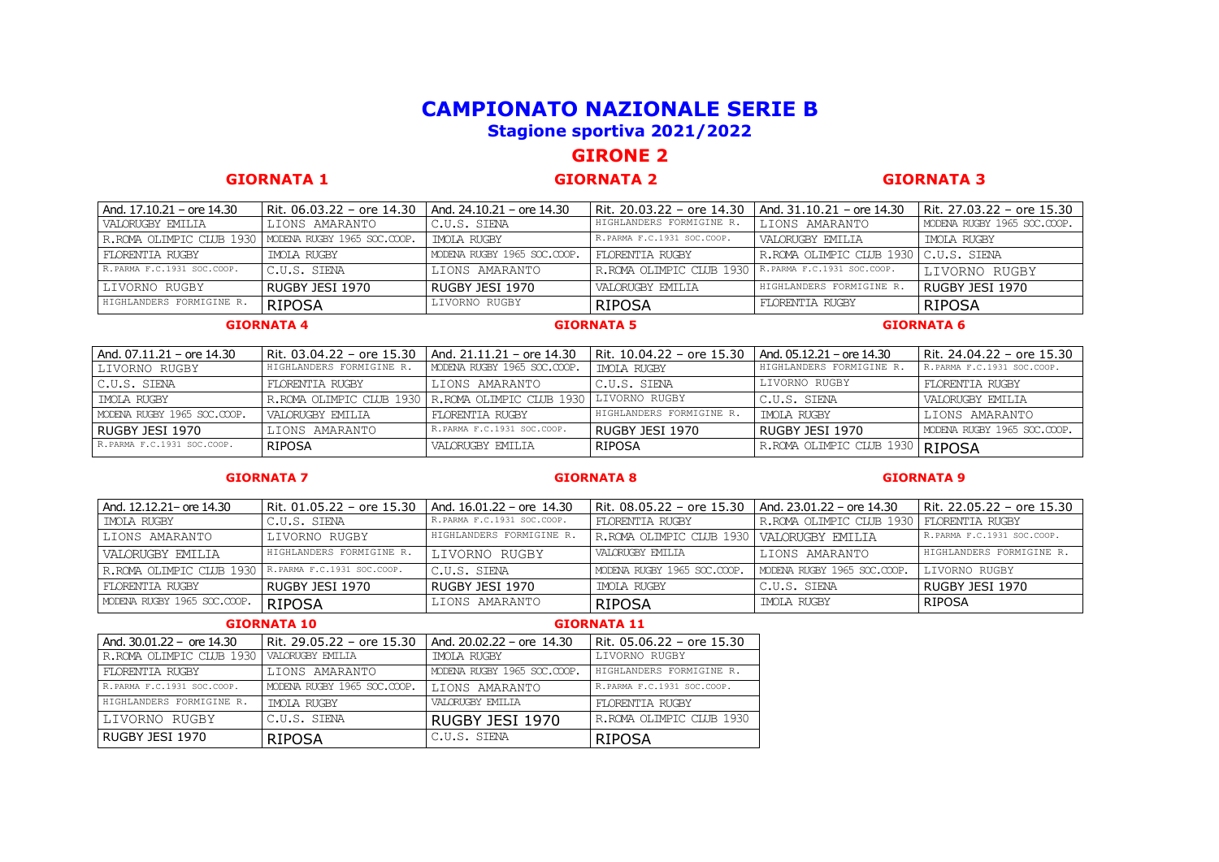## **Stagione sportiva 2021/2022**

## **GIRONE 2**

**GIORNATA 1 GIORNATA 2 GIORNATA 3**

| And. 17.10.21 – ore 14.30                              | Rit. 06.03.22 – ore 14.30   And. 24.10.21 – ore 14.30 |                             | Rit. 20.03.22 - ore 14.30   And. 31.10.21 - ore 14.30 |                                         | Rit. 27.03.22 - ore 15.30   |
|--------------------------------------------------------|-------------------------------------------------------|-----------------------------|-------------------------------------------------------|-----------------------------------------|-----------------------------|
| VALORUGBY EMILIA                                       | LIONS AMARANTO                                        | C.U.S. SIENA                | HIGHLANDERS FORMIGINE R.                              | LIONS AMARANTO                          | MODENA RUGBY 1965 SOC.COOP. |
| R.ROMA OLIMPIC CLUB 1930   MODENA RUGBY 1965 SOC.COOP. |                                                       | IMOLA RUGBY                 | R.PARMA F.C.1931 SOC.COOP.                            | VALORUGBY EMILIA                        | IMOLA RUGBY                 |
| FLORENTIA RUGBY                                        | IMOLA RUGBY                                           | MODENA RUGBY 1965 SOC.COOP. | FLORENTIA RUGBY                                       | R.ROMA OLIMPIC CLUB 1930   C.U.S. SIENA |                             |
| R.PARMA F.C.1931 SOC.COOP.                             | C.U.S. SIENA                                          | LIONS AMARANTO              | R.ROMA OLIMPIC CLUB 1930   R.PARMA F.C.1931 SOC.COOP. |                                         | LIVORNO RUGBY               |
| LIVORNO RUGBY                                          | l RUGBY JESI 1970                                     | RUGBY JESI 1970             | VALORUGBY EMILIA                                      | HIGHLANDERS FORMIGINE R.                | RUGBY JESI 1970             |
| HIGHLANDERS FORMIGINE R.                               | l RIPOSA                                              | LIVORNO RUGBY               | l RIPOSA                                              | FLORENTIA RUGBY                         | <b>RIPOSA</b>               |
| <b>GIORNATA 4</b>                                      |                                                       |                             | <b>GIORNATA 5</b>                                     |                                         | <b>GIORNATA 6</b>           |

| And. 07.11.21 – ore 14.30     | Rit. 03.04.22 - ore 15.30 | And. 21.11.21 – ore 14.30                                           | Rit. 10.04.22 - ore 15.30 | $\vert$ And, 05.12.21 – ore 14.30 | Rit. 24.04.22 - ore 15.30   |
|-------------------------------|---------------------------|---------------------------------------------------------------------|---------------------------|-----------------------------------|-----------------------------|
| LIVORNO RUGBY                 | HIGHLANDERS FORMIGINE R.  | MODENA RUGBY 1965 SOC.COOP.                                         | IMOLA RUGBY               | HIGHLANDERS FORMIGINE R.          | R.PARMA F.C.1931 SOC.COOP.  |
| IC.U.S. SIENA                 | FLORENTIA RUGBY           | LIONS AMARANTO                                                      | IC.U.S. SIENA             | LIVORNO RUGBY                     | FLORENTIA RUGBY             |
| I IMOLA RUGBY                 |                           | R.ROMA OLIMPIC CLUB 1930   R.ROMA OLIMPIC CLUB 1930   LIVORNO RUGBY |                           | C.U.S. SIENA                      | VALORUGBY EMILIA            |
| MODENA RUGBY 1965 SOC.COOP.   | VALORUGBY EMILIA          | FLORENTIA RUGBY                                                     | HIGHLANDERS FORMIGINE R.  | IMOLA RUGBY                       | LIONS AMARANTO              |
| l RUGBY JESI 1970             | LIONS AMARANTO            | R.PARMA F.C.1931 SOC.COOP.                                          | l RUGBY JESI 1970         | l RUGBY JESI 1970                 | MODENA RUGBY 1965 SOC.COOP. |
| R. PARMA F.C. 1931 SOC. COOP. | RIPOSA                    | VALORUGBY EMILIA                                                    | l RIPOSA.                 | R.ROMA OLIMPIC CLUB 1930   RIPOSA |                             |

### **GIORNATA 7 GIORNATA 8 GIORNATA 9**

| And. 12.12.21 – ore 14.30                           | l Rit. 01.05.22 – ore 15.30 | $And. 16.01.22 - ore. 14.30$ | Rit. 08.05.22 - ore 15.30                   | And. 23.01.22 – ore 14.30   | Rit. 22.05.22 - ore 15.30  |
|-----------------------------------------------------|-----------------------------|------------------------------|---------------------------------------------|-----------------------------|----------------------------|
| IMOLA RUGBY                                         | C.U.S. SIENA                | R.PARMA F.C.1931 SOC.COOP.   | FLORENTIA RUGBY                             | R.ROMA OLIMPIC CLUB 1930    | )   FLORENTIA RUGBY        |
| LIONS AMARANTO                                      | LIVORNO RUGBY               | HIGHLANDERS FORMIGINE R.     | R.ROMA OLIMPIC CLUB 1930   VALORUGBY EMILIA |                             | R.PARMA F.C.1931 SOC.COOP. |
| VALORUGBY EMILIA                                    | HIGHLANDERS FORMIGINE R.    | LIVORNO RUGBY                | VATORUGBY FIMIT.TA                          | LIONS AMARANTO              | HIGHLANDERS FORMIGINE R.   |
| R.ROMA OLIMPIC CLUB 1930 R.PARMA F.C.1931 SOC.COOP. |                             | C.U.S. SIENA                 | MODENA RUGBY 1965 SOC.COOP.                 | MODENA RUGBY 1965 SOC.COOP. | I LIVORNO RUGBY            |
| FLORENTIA RUGBY                                     | RUGBY JESI 1970             | l RUGBY JESI 1970            | <b>IMOLA RUGBY</b>                          | C.U.S. SIENA                | RUGBY JESI 1970            |
| MODENA RUGBY 1965 SOC.COOP.                         | <b>RIPOSA</b>               | LIONS AMARANTO               | l RIPOSA                                    | IMOLA RUGBY                 | RIPOSA                     |

### **GIORNATA 10 GIORNATA 11**

| <b>"ORNA</b> ". |  |  |  |
|-----------------|--|--|--|
|                 |  |  |  |

| And, $30.01.22 -$ ore $14.30$ | Rit. 29.05.22 - ore 15.30   | And, 20.02.22 - ore 14.30   | Rit. 05.06.22 - ore 15.30  |
|-------------------------------|-----------------------------|-----------------------------|----------------------------|
| R.ROMA OLIMPIC CLUB 1930      | VATORUGBY FIMIT.TA          | <b>IMOLA RUGBY</b>          | LIVORNO RUGBY              |
| FLORENTIA RUGBY               | LIONS AMARANTO              | MODENA RUGBY 1965 SOC.COOP. | HIGHLANDERS FORMIGINE R.   |
| R.PARMA F.C.1931 SOC.COOP.    | MODENA RUGBY 1965 SOC.COOP. | LIONS AMARANTO              | R.PARMA F.C.1931 SOC.COOP. |
| HIGHLANDERS FORMIGINE R.      | <b>IMOLA RUGBY</b>          | VATORUGBY FIMITTA           | FLORENTIA RUGBY            |
| LIVORNO RUGBY                 | C.U.S. SIENA                | RUGBY JESI 1970             | R.ROMA OLIMPIC CLUB 1930   |
| RUGBY JESI 1970               | <b>RIPOSA</b>               | C.U.S. SIENA                | <b>RIPOSA</b>              |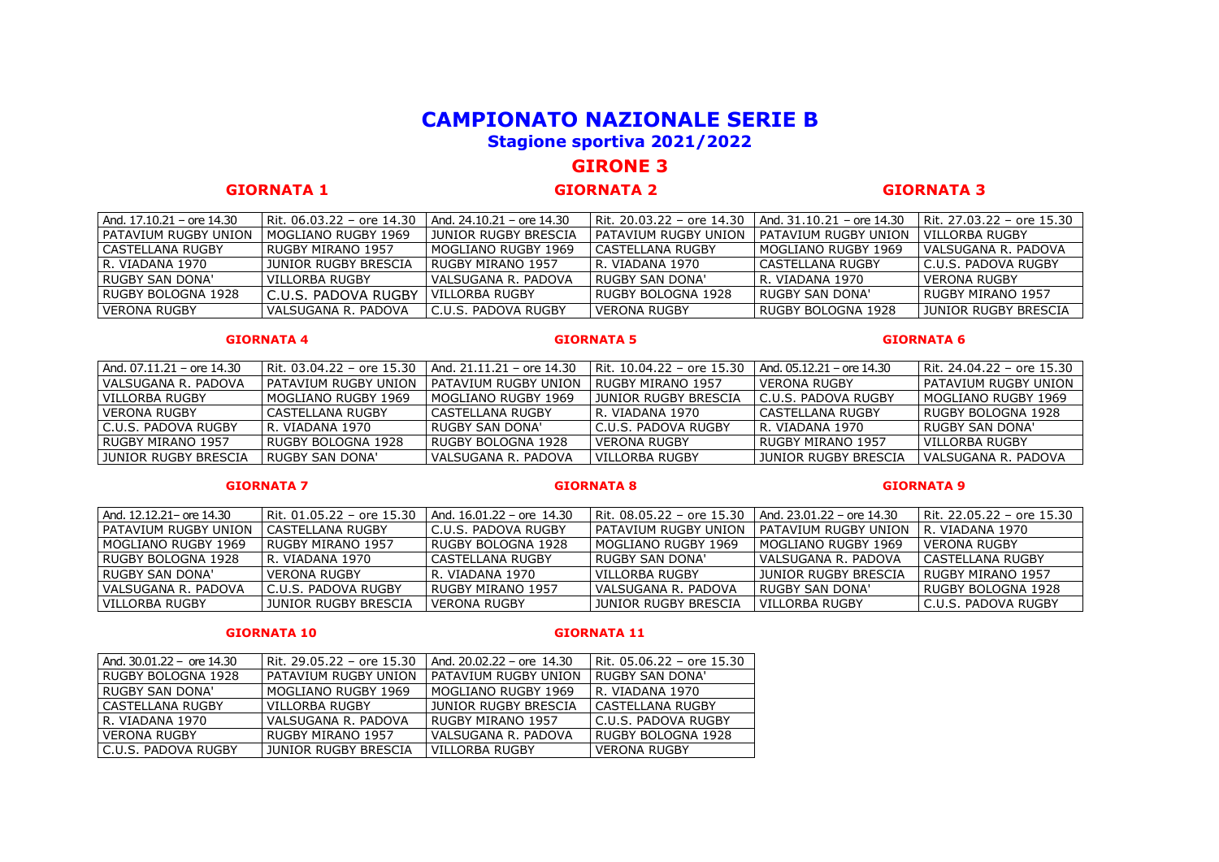## **Stagione sportiva 2021/2022**

## **GIRONE 3**

## **GIORNATA 1 GIORNATA 2 GIORNATA 3**

| And. 17.10.21 – ore 14.30 | l Rit. 06.03.22 – ore 14.30 | l And. 24.10.21 – ore 14.30 | 1 Rit. 20.03.22 – ore 14.30 | $1$ And. 31.10.21 – ore 14.30 | Rit. 27.03.22 – ore 15.30 |
|---------------------------|-----------------------------|-----------------------------|-----------------------------|-------------------------------|---------------------------|
| l PATAVIUM RUGBY UNION    | l MOGLIANO RUGBY 1969       | JUNIOR RUGBY BRESCIA        | I PATAVIUM RUGBY UNION      | l PATAVIUM RUGBY UNION        | l VILLORBA RUGBY          |
| l CASTELLANA RUGBY        | l RUGBY MIRANO 1957         | l MOGLIANO RUGBY 1969       | l CASTELLANA RUGBY          | l MOGLIANO RUGBY 1969         | l VALSUGANA R. PADOVA     |
| l R. VIADANA 1970         | JUNIOR RUGBY BRESCIA        | l RUGBY MIRANO 1957         | I R. VIADANA 1970           | l CASTELLANA RUGBY            | LC.U.S. PADOVA RUGBY      |
| l RUGBY SAN DONA'         | VILLORBA RUGBY              | I VAI SUGANA R. PADOVA      | I RUGBY SAN DONA'           | l R. VIADANA 1970             | l VERONA RUGBY            |
| l RUGBY BOLOGNA 1928      | l C.U.S. PADOVA RUGBY       | l VILLORBA RUGBY            | l RUGBY BOLOGNA 1928        | I RUGBY SAN DONA'             | I RUGBY MIRANO 1957       |
| I VERONA RUGBY            | VALSUGANA R. PADOVA         | l C.U.S. PADOVA RUGBY       | VERONA RUGBY                | I RUGBY BOLOGNA 1928          | JUNIOR RUGBY BRESCIA      |

### **GIORNATA 4 GIORNATA 5 GIORNATA 6**

| LAnd. 07.11.21 – ore 14.30 | l Rit. 03.04.22 – ore 15.30 | l And. 21.11.21 – ore 14.30 | $Rit. 10.04.22 -$ ore 15.30 And 05.12.21 - ore 14.30 |                        | 1 Rit. 24.04.22 - ore 15.30 |
|----------------------------|-----------------------------|-----------------------------|------------------------------------------------------|------------------------|-----------------------------|
| I VALSUGANA R. PADOVA      | l PATAVIUM RUGBY UNION      | l PATAVIUM RUGBY UNION      | I RUGBY MIRANO 1957                                  | I VERONA RUGBY.        | I PATAVIUM RUGBY UNION      |
| I VILLORBA RUGBY           | I MOGLIANO RUGBY 1969       | MOGLIANO RUGBY 1969         | JUNIOR RUGBY BRESCIA                                 | LC.U.S. PADOVA RUGBY   | l MOGLIANO RUGBY 1969       |
| l VERONA RUGBY             | l CASTELLANA RUGBY          | l CASTELLANA RUGBY          | l R. VIADANA 1970                                    | l CASTELLANA RUGBY     | l RUGBY BOLOGNA 1928        |
| LC.U.S. PADOVA RUGBY       | I R. VIADANA 1970           | RUGBY SAN DONA'             | LC.U.S. PADOVA RUGBY                                 | I R. VIADANA 1970      | I RUGBY SAN DONA'           |
| l RUGBY MIRANO 1957        | l RUGBY BOLOGNA 1928        | l RUGBY BOLOGNA 1928        | I VERONA RUGBY.                                      | I RUGBY MIRANO 1957    | I VILLORBA RUGBY            |
| l JUNIOR RUGBY BRESCIA     | l RUGBY SAN DONA'           | VALSUGANA R. PADOVA         | l VILLORBA RUGBY                                     | l JUNIOR RUGBY BRESCIA | VALSUGANA R. PADOVA         |

### **GIORNATA 7 GIORNATA 8 GIORNATA 9**

| l And. 12.12.21– ore 14.30 | l Rit. 01.05.22 – ore 15.30 | $And. 16.01.22 - ore. 14.30$ | Rit. 08.05.22 - ore 15.30   And. 23.01.22 - ore 14.30 |                                                 | l Rit. 22.05.22 – ore 15.30 |
|----------------------------|-----------------------------|------------------------------|-------------------------------------------------------|-------------------------------------------------|-----------------------------|
| l PATAVIUM RUGBY UNION     | l CASTELLANA RUGBY          | l C.U.S. PADOVA RUGBY        |                                                       | I PATAVIUM RUGBY UNION I PATAVIUM RUGBY UNION I | l R. VIADANA 1970           |
| l MOGLIANO RUGBY 1969      | RUGBY MIRANO 1957           | RUGBY BOLOGNA 1928           | I MOGLIANO RUGBY 1969                                 | l MOGLIANO RUGBY 1969                           | VERONA RUGBY                |
| l RUGBY BOLOGNA 1928       | l R. VIADANA 1970           | CASTELLANA RUGBY             | I RUGBY SAN DONA'                                     | l VALSUGANA R. PADOVA                           | l CASTELLANA RUGBY          |
| I RUGBY SAN DONA'          | VERONA RUGBY                | R. VIADANA 1970              | l VII LORBA RUGBY                                     | JUNIOR RUGBY BRESCIA                            | l RUGBY MIRANO 1957         |
| l VALSUGANA R. PADOVA      | l C.U.S. PADOVA RUGBY       | RUGBY MIRANO 1957            | l VALSUGANA R. PADOVA                                 | I RUGBY SAN DONA'                               | l RUGBY BOLOGNA 1928        |
| I VILLORBA RUGBY           | JUNIOR RUGBY BRESCIA        | VERONA RUGBY                 | JUNIOR RUGBY BRESCIA                                  | l VILLORBA RUGBY                                | l C.U.S. PADOVA RUGBY       |

### **GIORNATA 10 GIORNATA 11**

| And, $30.01.22 -$ ore $14.30$ | Rit. 29.05.22 - ore 15.30 | And, $20.02.22 -$ ore $14.30$ | l Rit. 05.06.22 – ore 15.30 |
|-------------------------------|---------------------------|-------------------------------|-----------------------------|
| RUGBY BOLOGNA 1928            | PATAVIUM RUGBY UNION      | PATAVIUM RUGBY UNION          | l RUGBY SAN DONA'           |
| <b>RUGBY SAN DONA'</b>        | MOGLIANO RUGBY 1969       | MOGLIANO RUGBY 1969           | IR. VIADANA 1970            |
| CASTELLANA RUGBY              | <b>VILLORBA RUGBY</b>     | JUNIOR RUGBY BRESCIA          | l CASTELLANA RUGBY          |
| R. VIADANA 1970               | VALSUGANA R. PADOVA       | RUGBY MIRANO 1957             | LC.U.S. PADOVA RUGBY        |
| <b>VERONA RUGBY</b>           | RUGBY MIRANO 1957         | VALSUGANA R. PADOVA           | l RUGBY BOLOGNA 1928        |
| C.U.S. PADOVA RUGBY           | JUNIOR RUGBY BRESCIA      | VILLORBA RUGBY                | <b>VERONA RUGBY</b>         |